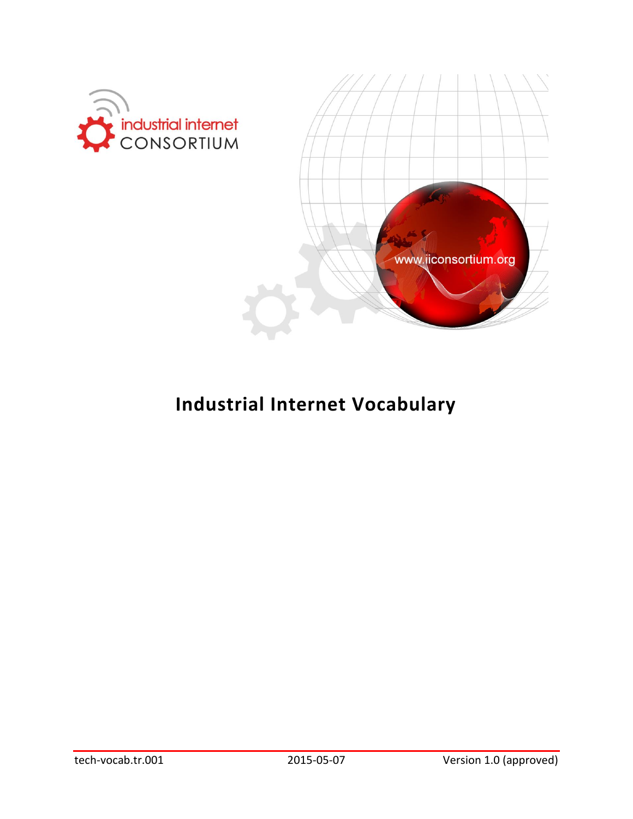



# **Industrial Internet Vocabulary**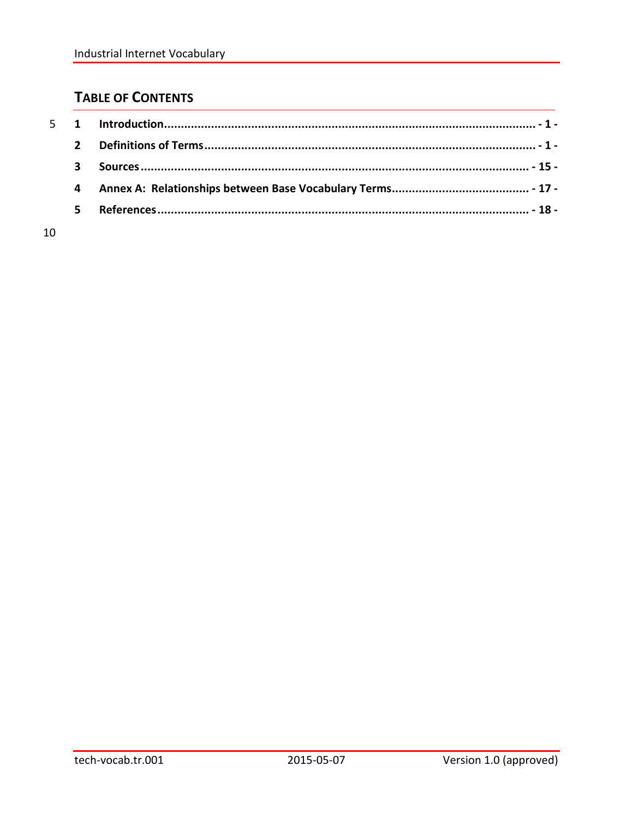# **TABLE OF CONTENTS**

| 3              |  |
|----------------|--|
| $\overline{4}$ |  |
| 5.             |  |
|                |  |

10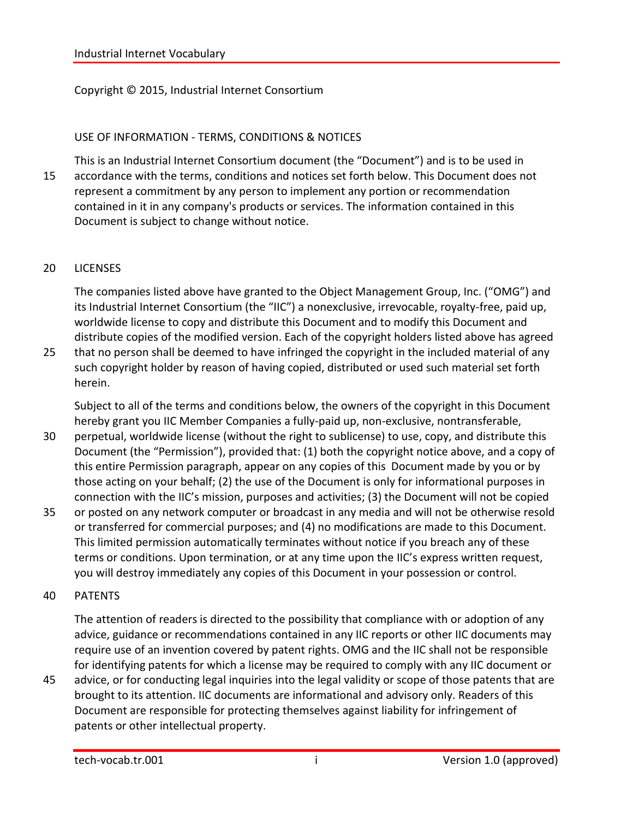#### Copyright © 2015, Industrial Internet Consortium

#### USE OF INFORMATION - TERMS, CONDITIONS & NOTICES

This is an Industrial Internet Consortium document (the "Document") and is to be used in 15 accordance with the terms, conditions and notices set forth below. This Document does not represent a commitment by any person to implement any portion or recommendation contained in it in any company's products or services. The information contained in this Document is subject to change without notice.

#### 20 LICENSES

The companies listed above have granted to the Object Management Group, Inc. ("OMG") and its Industrial Internet Consortium (the "IIC") a nonexclusive, irrevocable, royalty-free, paid up, worldwide license to copy and distribute this Document and to modify this Document and distribute copies of the modified version. Each of the copyright holders listed above has agreed

25 that no person shall be deemed to have infringed the copyright in the included material of any such copyright holder by reason of having copied, distributed or used such material set forth herein.

Subject to all of the terms and conditions below, the owners of the copyright in this Document hereby grant you IIC Member Companies a fully-paid up, non-exclusive, nontransferable,

- 30 perpetual, worldwide license (without the right to sublicense) to use, copy, and distribute this Document (the "Permission"), provided that: (1) both the copyright notice above, and a copy of this entire Permission paragraph, appear on any copies of this Document made by you or by those acting on your behalf; (2) the use of the Document is only for informational purposes in connection with the IIC's mission, purposes and activities; (3) the Document will not be copied
- 35 or posted on any network computer or broadcast in any media and will not be otherwise resold or transferred for commercial purposes; and (4) no modifications are made to this Document. This limited permission automatically terminates without notice if you breach any of these terms or conditions. Upon termination, or at any time upon the IIC's express written request, you will destroy immediately any copies of this Document in your possession or control.

#### 40 PATENTS

The attention of readers is directed to the possibility that compliance with or adoption of any advice, guidance or recommendations contained in any IIC reports or other IIC documents may require use of an invention covered by patent rights. OMG and the IIC shall not be responsible for identifying patents for which a license may be required to comply with any IIC document or

45 advice, or for conducting legal inquiries into the legal validity or scope of those patents that are brought to its attention. IIC documents are informational and advisory only. Readers of this Document are responsible for protecting themselves against liability for infringement of patents or other intellectual property.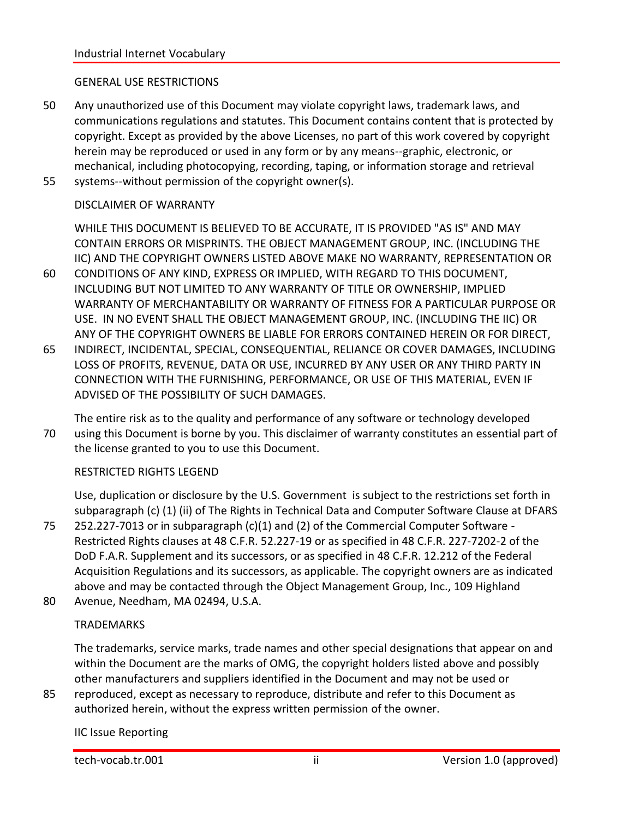#### GENERAL USE RESTRICTIONS

50 Any unauthorized use of this Document may violate copyright laws, trademark laws, and communications regulations and statutes. This Document contains content that is protected by copyright. Except as provided by the above Licenses, no part of this work covered by copyright herein may be reproduced or used in any form or by any means--graphic, electronic, or mechanical, including photocopying, recording, taping, or information storage and retrieval 55 systems--without permission of the copyright owner(s).

#### DISCLAIMER OF WARRANTY

WHILE THIS DOCUMENT IS BELIEVED TO BE ACCURATE, IT IS PROVIDED "AS IS" AND MAY CONTAIN ERRORS OR MISPRINTS. THE OBJECT MANAGEMENT GROUP, INC. (INCLUDING THE IIC) AND THE COPYRIGHT OWNERS LISTED ABOVE MAKE NO WARRANTY, REPRESENTATION OR

- 60 CONDITIONS OF ANY KIND, EXPRESS OR IMPLIED, WITH REGARD TO THIS DOCUMENT, INCLUDING BUT NOT LIMITED TO ANY WARRANTY OF TITLE OR OWNERSHIP, IMPLIED WARRANTY OF MERCHANTABILITY OR WARRANTY OF FITNESS FOR A PARTICULAR PURPOSE OR USE. IN NO EVENT SHALL THE OBJECT MANAGEMENT GROUP, INC. (INCLUDING THE IIC) OR ANY OF THE COPYRIGHT OWNERS BE LIABLE FOR ERRORS CONTAINED HEREIN OR FOR DIRECT,
- 65 INDIRECT, INCIDENTAL, SPECIAL, CONSEQUENTIAL, RELIANCE OR COVER DAMAGES, INCLUDING LOSS OF PROFITS, REVENUE, DATA OR USE, INCURRED BY ANY USER OR ANY THIRD PARTY IN CONNECTION WITH THE FURNISHING, PERFORMANCE, OR USE OF THIS MATERIAL, EVEN IF ADVISED OF THE POSSIBILITY OF SUCH DAMAGES.
- The entire risk as to the quality and performance of any software or technology developed 70 using this Document is borne by you. This disclaimer of warranty constitutes an essential part of the license granted to you to use this Document.

#### RESTRICTED RIGHTS LEGEND

Use, duplication or disclosure by the U.S. Government is subject to the restrictions set forth in subparagraph (c) (1) (ii) of The Rights in Technical Data and Computer Software Clause at DFARS

- 75 252.227-7013 or in subparagraph (c)(1) and (2) of the Commercial Computer Software Restricted Rights clauses at 48 C.F.R. 52.227-19 or as specified in 48 C.F.R. 227-7202-2 of the DoD F.A.R. Supplement and its successors, or as specified in 48 C.F.R. 12.212 of the Federal Acquisition Regulations and its successors, as applicable. The copyright owners are as indicated above and may be contacted through the Object Management Group, Inc., 109 Highland
- 80 Avenue, Needham, MA 02494, U.S.A.

#### **TRADEMARKS**

The trademarks, service marks, trade names and other special designations that appear on and within the Document are the marks of OMG, the copyright holders listed above and possibly other manufacturers and suppliers identified in the Document and may not be used or

85 reproduced, except as necessary to reproduce, distribute and refer to this Document as authorized herein, without the express written permission of the owner.

IIC Issue Reporting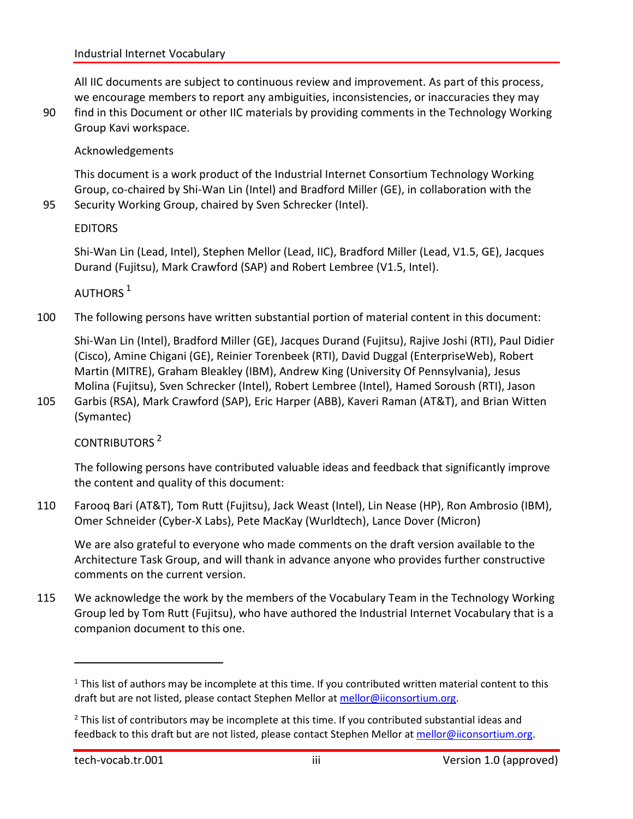All IIC documents are subject to continuous review and improvement. As part of this process, we encourage members to report any ambiguities, inconsistencies, or inaccuracies they may

90 find in this Document or other IIC materials by providing comments in the Technology Working Group Kavi workspace.

#### Acknowledgements

This document is a work product of the Industrial Internet Consortium Technology Working Group, co-chaired by Shi-Wan Lin (Intel) and Bradford Miller (GE), in collaboration with the 95 Security Working Group, chaired by Sven Schrecker (Intel).

EDITORS

Shi-Wan Lin (Lead, Intel), Stephen Mellor (Lead, IIC), Bradford Miller (Lead, V1.5, GE), Jacques Durand (Fujitsu), Mark Crawford (SAP) and Robert Lembree (V1.5, Intel).

AUTHORS  $1$ 

100 The following persons have written substantial portion of material content in this document:

Shi-Wan Lin (Intel), Bradford Miller (GE), Jacques Durand (Fujitsu), Rajive Joshi (RTI), Paul Didier (Cisco), Amine Chigani (GE), Reinier Torenbeek (RTI), David Duggal (EnterpriseWeb), Robert Martin (MITRE), Graham Bleakley (IBM), Andrew King (University Of Pennsylvania), Jesus Molina (Fujitsu), Sven Schrecker (Intel), Robert Lembree (Intel), Hamed Soroush (RTI), Jason

105 Garbis (RSA), Mark Crawford (SAP), Eric Harper (ABB), Kaveri Raman (AT&T), and Brian Witten (Symantec)

#### CONTRIBUTORS <sup>2</sup>

The following persons have contributed valuable ideas and feedback that significantly improve the content and quality of this document:

110 Farooq Bari (AT&T), Tom Rutt (Fujitsu), Jack Weast (Intel), Lin Nease (HP), Ron Ambrosio (IBM), Omer Schneider (Cyber-X Labs), Pete MacKay (Wurldtech), Lance Dover (Micron)

We are also grateful to everyone who made comments on the draft version available to the Architecture Task Group, and will thank in advance anyone who provides further constructive comments on the current version.

115 We acknowledge the work by the members of the Vocabulary Team in the Technology Working Group led by Tom Rutt (Fujitsu), who have authored the Industrial Internet Vocabulary that is a companion document to this one.

 $\overline{a}$ 

 $<sup>1</sup>$  This list of authors may be incomplete at this time. If you contributed written material content to this</sup> draft but are not listed, please contact Stephen Mellor at [mellor@iiconsortium.org.](mailto:mellor@iiconsortium.org)

 $<sup>2</sup>$  This list of contributors may be incomplete at this time. If you contributed substantial ideas and</sup> feedback to this draft but are not listed, please contact Stephen Mellor at [mellor@iiconsortium.org.](mailto:mellor@iiconsortium.org)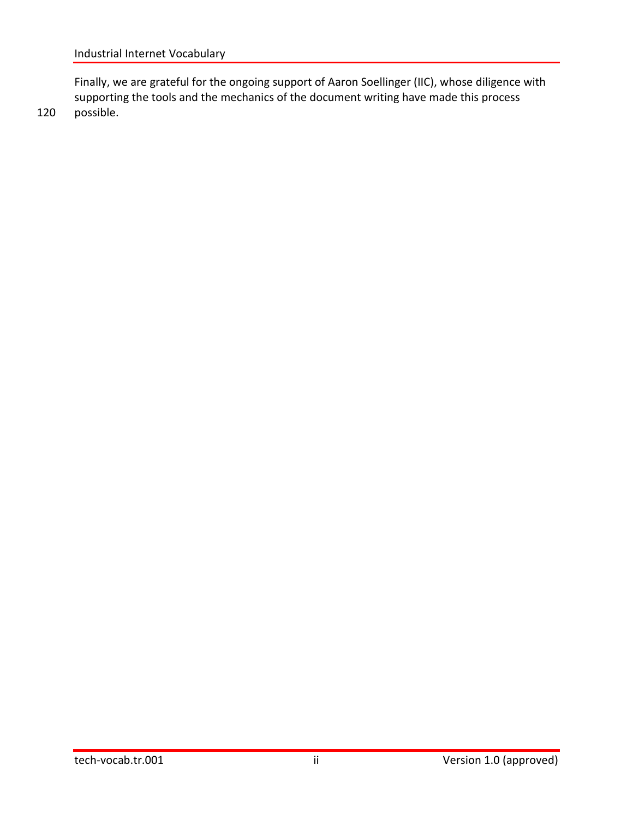Finally, we are grateful for the ongoing support of Aaron Soellinger (IIC), whose diligence with supporting the tools and the mechanics of the document writing have made this process 120 possible.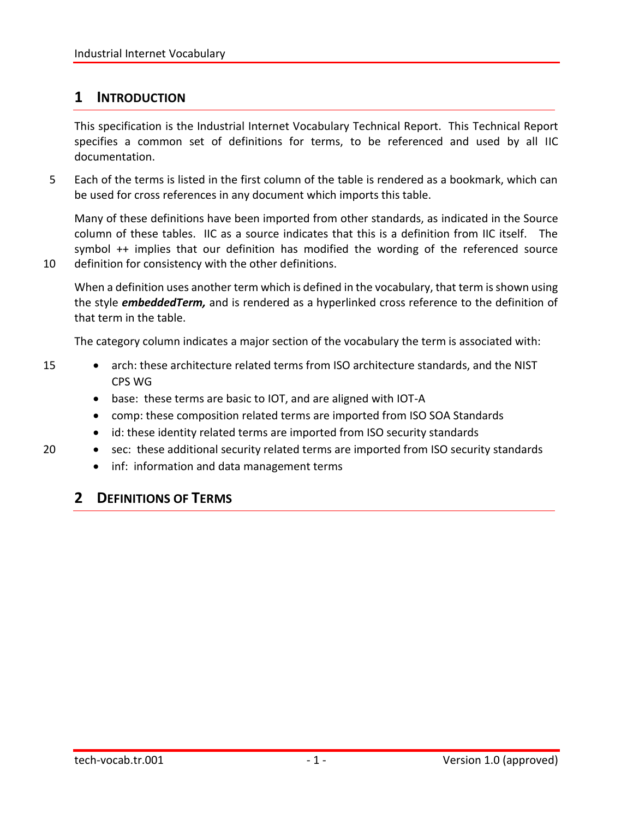## <span id="page-6-0"></span>**1 INTRODUCTION**

This specification is the Industrial Internet Vocabulary Technical Report. This Technical Report specifies a common set of definitions for terms, to be referenced and used by all IIC documentation.

5 Each of the terms is listed in the first column of the table is rendered as a bookmark, which can be used for cross references in any document which imports this table.

Many of these definitions have been imported from other standards, as indicated in the Source column of these tables. IIC as a source indicates that this is a definition from IIC itself. The symbol ++ implies that our definition has modified the wording of the referenced source 10 definition for consistency with the other definitions.

When a definition uses another term which is defined in the vocabulary, that term is shown using the style *embeddedTerm,* and is rendered as a hyperlinked cross reference to the definition of that term in the table.

The category column indicates a major section of the vocabulary the term is associated with:

- 15 arch: these architecture related terms from ISO architecture standards, and the NIST CPS WG
	- base: these terms are basic to IOT, and are aligned with IOT-A
	- comp: these composition related terms are imported from ISO SOA Standards
	- id: these identity related terms are imported from ISO security standards
- 20 sec: these additional security related terms are imported from ISO security standards
	- inf: information and data management terms

# <span id="page-6-1"></span>**2 DEFINITIONS OF TERMS**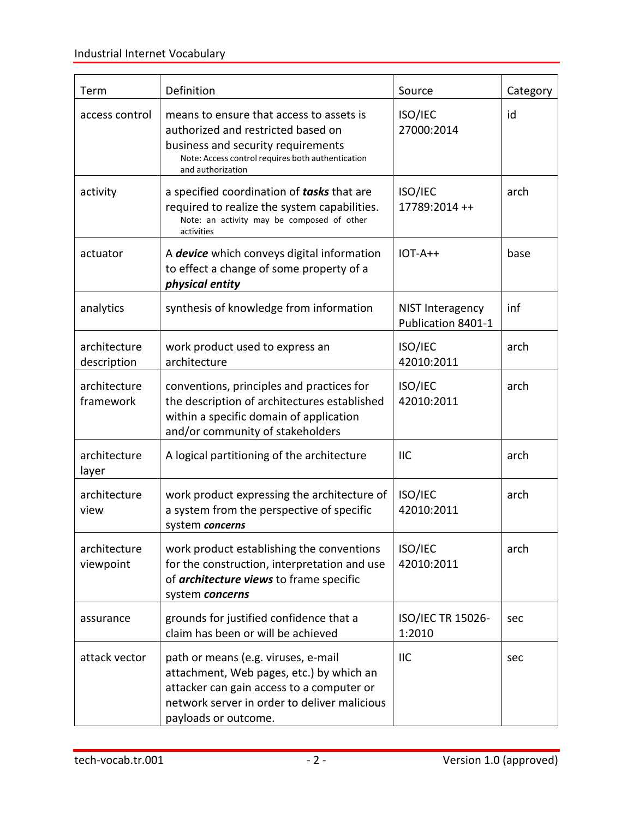<span id="page-7-1"></span><span id="page-7-0"></span>

| Term                        | Definition                                                                                                                                                                                           | Source                                 | Category |
|-----------------------------|------------------------------------------------------------------------------------------------------------------------------------------------------------------------------------------------------|----------------------------------------|----------|
| access control              | means to ensure that access to assets is<br>authorized and restricted based on<br>business and security requirements<br>Note: Access control requires both authentication<br>and authorization       | ISO/IEC<br>27000:2014                  | id       |
| activity                    | a specified coordination of <b>tasks</b> that are<br>required to realize the system capabilities.<br>Note: an activity may be composed of other<br>activities                                        | ISO/IEC<br>17789:2014 ++               | arch     |
| actuator                    | A device which conveys digital information<br>to effect a change of some property of a<br>physical entity                                                                                            | $IOT-A++$                              | base     |
| analytics                   | synthesis of knowledge from information                                                                                                                                                              | NIST Interagency<br>Publication 8401-1 | inf      |
| architecture<br>description | work product used to express an<br>architecture                                                                                                                                                      | ISO/IEC<br>42010:2011                  | arch     |
| architecture<br>framework   | conventions, principles and practices for<br>the description of architectures established<br>within a specific domain of application<br>and/or community of stakeholders                             | ISO/IEC<br>42010:2011                  | arch     |
| architecture<br>layer       | A logical partitioning of the architecture                                                                                                                                                           | <b>IIC</b>                             | arch     |
| architecture<br>view        | work product expressing the architecture of<br>a system from the perspective of specific<br>system concerns                                                                                          | ISO/IEC<br>42010:2011                  | arch     |
| architecture<br>viewpoint   | work product establishing the conventions<br>for the construction, interpretation and use<br>of architecture views to frame specific<br>system concerns                                              | ISO/IEC<br>42010:2011                  | arch     |
| assurance                   | grounds for justified confidence that a<br>claim has been or will be achieved                                                                                                                        | ISO/IEC TR 15026-<br>1:2010            | sec      |
| attack vector               | path or means (e.g. viruses, e-mail<br>attachment, Web pages, etc.) by which an<br>attacker can gain access to a computer or<br>network server in order to deliver malicious<br>payloads or outcome. | <b>IIC</b>                             | sec      |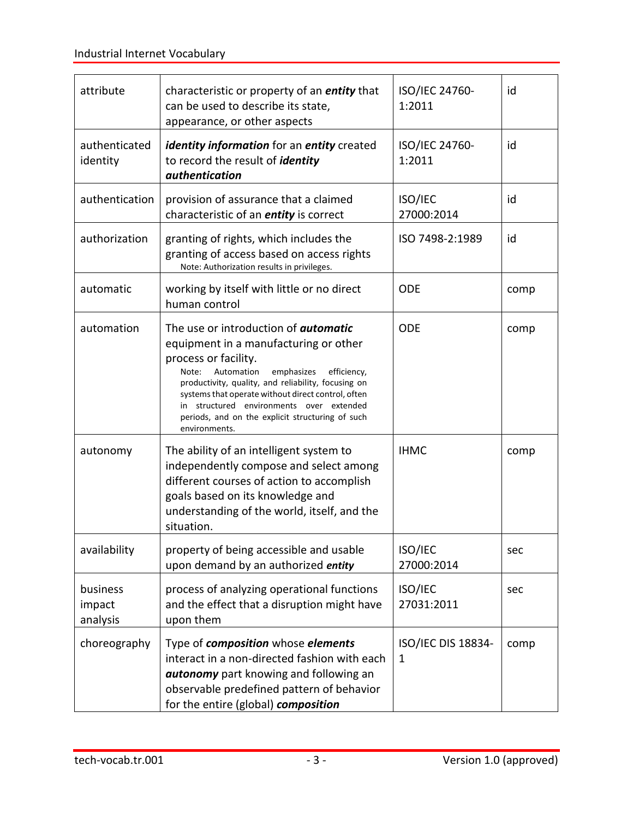<span id="page-8-3"></span><span id="page-8-2"></span><span id="page-8-1"></span><span id="page-8-0"></span>

| attribute                      | characteristic or property of an <i>entity</i> that<br>can be used to describe its state,<br>appearance, or other aspects                                                                                                                                                                                                                                                                      | ISO/IEC 24760-<br>1:2011                  | id   |
|--------------------------------|------------------------------------------------------------------------------------------------------------------------------------------------------------------------------------------------------------------------------------------------------------------------------------------------------------------------------------------------------------------------------------------------|-------------------------------------------|------|
| authenticated<br>identity      | identity information for an entity created<br>to record the result of <i>identity</i><br>authentication                                                                                                                                                                                                                                                                                        | ISO/IEC 24760-<br>1:2011                  | id   |
| authentication                 | provision of assurance that a claimed<br>characteristic of an <i>entity</i> is correct                                                                                                                                                                                                                                                                                                         | ISO/IEC<br>27000:2014                     | id   |
| authorization                  | granting of rights, which includes the<br>granting of access based on access rights<br>Note: Authorization results in privileges.                                                                                                                                                                                                                                                              | ISO 7498-2:1989                           | id   |
| automatic                      | working by itself with little or no direct<br>human control                                                                                                                                                                                                                                                                                                                                    | <b>ODE</b>                                | comp |
| automation                     | The use or introduction of <i>automatic</i><br>equipment in a manufacturing or other<br>process or facility.<br>Automation<br>emphasizes<br>efficiency,<br>Note:<br>productivity, quality, and reliability, focusing on<br>systems that operate without direct control, often<br>in structured environments over extended<br>periods, and on the explicit structuring of such<br>environments. | <b>ODE</b>                                | comp |
| autonomy                       | The ability of an intelligent system to<br>independently compose and select among<br>different courses of action to accomplish<br>goals based on its knowledge and<br>understanding of the world, itself, and the<br>situation.                                                                                                                                                                | <b>IHMC</b>                               | comp |
| availability                   | property of being accessible and usable<br>upon demand by an authorized entity                                                                                                                                                                                                                                                                                                                 | ISO/IEC<br>27000:2014                     | sec  |
| business<br>impact<br>analysis | process of analyzing operational functions<br>and the effect that a disruption might have<br>upon them                                                                                                                                                                                                                                                                                         | ISO/IEC<br>27031:2011                     | sec  |
| choreography                   | Type of <b>composition</b> whose <b>elements</b><br>interact in a non-directed fashion with each<br>autonomy part knowing and following an<br>observable predefined pattern of behavior<br>for the entire (global) composition                                                                                                                                                                 | <b>ISO/IEC DIS 18834-</b><br>$\mathbf{1}$ | comp |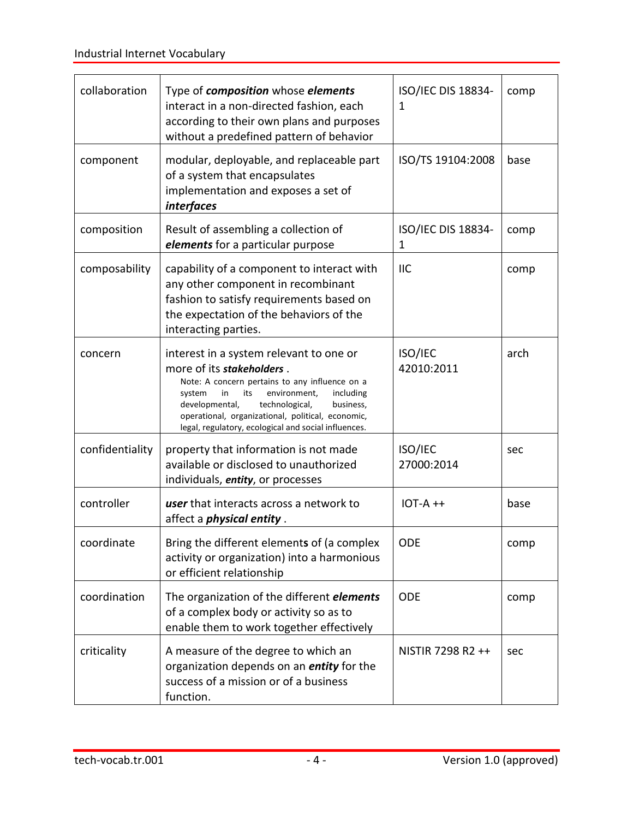<span id="page-9-3"></span><span id="page-9-2"></span><span id="page-9-1"></span><span id="page-9-0"></span>

| collaboration   | Type of <i>composition</i> whose <i>elements</i><br>interact in a non-directed fashion, each<br>according to their own plans and purposes<br>without a predefined pattern of behavior                                                                                                                                                    | ISO/IEC DIS 18834-<br>1      | comp |
|-----------------|------------------------------------------------------------------------------------------------------------------------------------------------------------------------------------------------------------------------------------------------------------------------------------------------------------------------------------------|------------------------------|------|
| component       | modular, deployable, and replaceable part<br>of a system that encapsulates<br>implementation and exposes a set of<br><i>interfaces</i>                                                                                                                                                                                                   | ISO/TS 19104:2008            | base |
| composition     | Result of assembling a collection of<br>elements for a particular purpose                                                                                                                                                                                                                                                                | ISO/IEC DIS 18834-<br>1      | comp |
| composability   | capability of a component to interact with<br>any other component in recombinant<br>fashion to satisfy requirements based on<br>the expectation of the behaviors of the<br>interacting parties.                                                                                                                                          | <b>IIC</b>                   | comp |
| concern         | interest in a system relevant to one or<br>more of its stakeholders.<br>Note: A concern pertains to any influence on a<br>environment,<br>including<br>system<br>in<br>its<br>developmental,<br>technological,<br>business,<br>operational, organizational, political, economic,<br>legal, regulatory, ecological and social influences. | <b>ISO/IEC</b><br>42010:2011 | arch |
| confidentiality | property that information is not made<br>available or disclosed to unauthorized<br>individuals, entity, or processes                                                                                                                                                                                                                     | ISO/IEC<br>27000:2014        | sec  |
| controller      | user that interacts across a network to<br>affect a <i>physical entity</i> .                                                                                                                                                                                                                                                             | $IOT-A$ ++                   | base |
| coordinate      | Bring the different elements of (a complex<br>activity or organization) into a harmonious<br>or efficient relationship                                                                                                                                                                                                                   | <b>ODE</b>                   | comp |
| coordination    | The organization of the different <i>elements</i><br>of a complex body or activity so as to<br>enable them to work together effectively                                                                                                                                                                                                  | <b>ODE</b>                   | comp |
| criticality     | A measure of the degree to which an<br>organization depends on an <i>entity</i> for the<br>success of a mission or of a business<br>function.                                                                                                                                                                                            | NISTIR 7298 R2 ++            | sec  |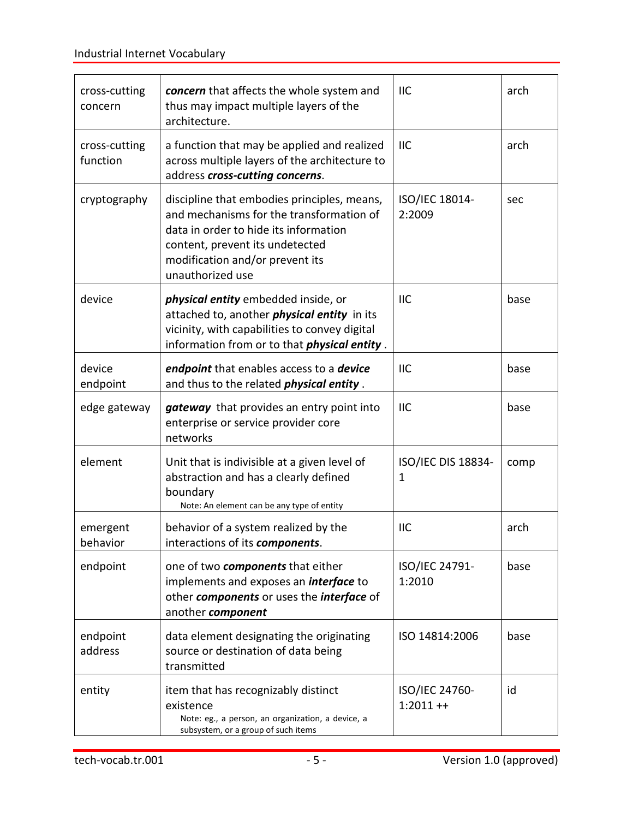<span id="page-10-5"></span><span id="page-10-4"></span><span id="page-10-3"></span><span id="page-10-2"></span><span id="page-10-1"></span><span id="page-10-0"></span>

| cross-cutting<br>concern  | concern that affects the whole system and<br>thus may impact multiple layers of the<br>architecture.                                                                                                                       | <b>IIC</b>                   | arch |
|---------------------------|----------------------------------------------------------------------------------------------------------------------------------------------------------------------------------------------------------------------------|------------------------------|------|
| cross-cutting<br>function | a function that may be applied and realized<br>across multiple layers of the architecture to<br>address cross-cutting concerns.                                                                                            | <b>IIC</b>                   | arch |
| cryptography              | discipline that embodies principles, means,<br>and mechanisms for the transformation of<br>data in order to hide its information<br>content, prevent its undetected<br>modification and/or prevent its<br>unauthorized use | ISO/IEC 18014-<br>2:2009     | sec  |
| device                    | <i>physical entity</i> embedded inside, or<br>attached to, another <i>physical entity</i> in its<br>vicinity, with capabilities to convey digital<br>information from or to that <i>physical entity</i> .                  | <b>IIC</b>                   | base |
| device<br>endpoint        | endpoint that enables access to a device<br>and thus to the related <i>physical entity</i> .                                                                                                                               | <b>IIC</b>                   | base |
| edge gateway              | gateway that provides an entry point into<br>enterprise or service provider core<br>networks                                                                                                                               | <b>IIC</b>                   | base |
| element                   | Unit that is indivisible at a given level of<br>abstraction and has a clearly defined<br>boundary<br>Note: An element can be any type of entity                                                                            | ISO/IEC DIS 18834-<br>1      | comp |
| emergent<br>behavior      | behavior of a system realized by the<br>interactions of its components.                                                                                                                                                    | <b>IIC</b>                   | arch |
| endpoint                  | one of two components that either<br>implements and exposes an <i>interface</i> to<br>other components or uses the interface of<br>another component                                                                       | ISO/IEC 24791-<br>1:2010     | base |
| endpoint<br>address       | data element designating the originating<br>source or destination of data being<br>transmitted                                                                                                                             | ISO 14814:2006               | base |
| entity                    | item that has recognizably distinct<br>existence<br>Note: eg., a person, an organization, a device, a<br>subsystem, or a group of such items                                                                               | ISO/IEC 24760-<br>$1:2011++$ | id   |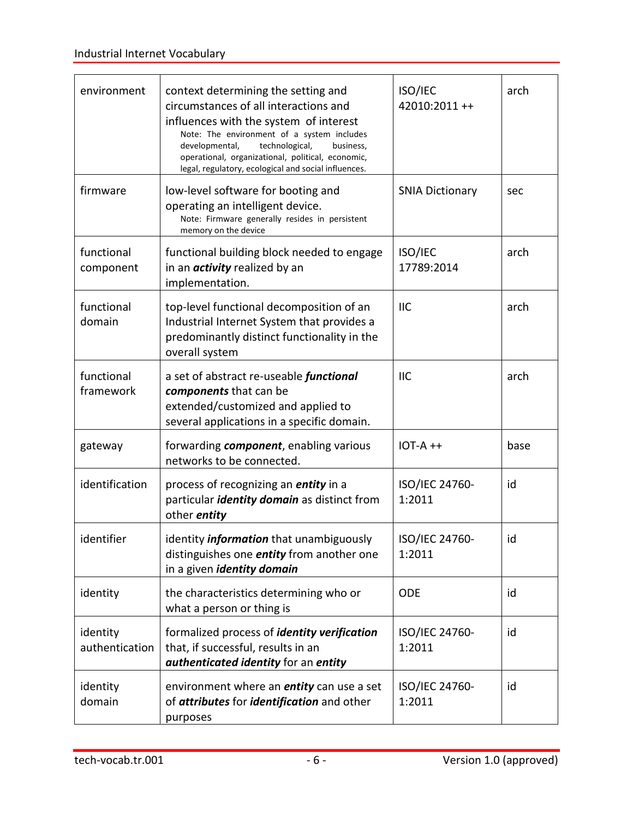<span id="page-11-6"></span><span id="page-11-5"></span><span id="page-11-4"></span><span id="page-11-3"></span><span id="page-11-2"></span><span id="page-11-1"></span><span id="page-11-0"></span>

| environment                | context determining the setting and<br>circumstances of all interactions and<br>influences with the system of interest<br>Note: The environment of a system includes<br>developmental,<br>technological,<br>business,<br>operational, organizational, political, economic,<br>legal, regulatory, ecological and social influences. | ISO/IEC<br>42010:2011++  | arch |
|----------------------------|------------------------------------------------------------------------------------------------------------------------------------------------------------------------------------------------------------------------------------------------------------------------------------------------------------------------------------|--------------------------|------|
| firmware                   | low-level software for booting and<br>operating an intelligent device.<br>Note: Firmware generally resides in persistent<br>memory on the device                                                                                                                                                                                   | <b>SNIA Dictionary</b>   | sec  |
| functional<br>component    | functional building block needed to engage<br>in an <i>activity</i> realized by an<br>implementation.                                                                                                                                                                                                                              | ISO/IEC<br>17789:2014    | arch |
| functional<br>domain       | top-level functional decomposition of an<br>Industrial Internet System that provides a<br>predominantly distinct functionality in the<br>overall system                                                                                                                                                                            | <b>IIC</b>               | arch |
| functional<br>framework    | a set of abstract re-useable <i>functional</i><br>components that can be<br>extended/customized and applied to<br>several applications in a specific domain.                                                                                                                                                                       | <b>IIC</b>               | arch |
| gateway                    | forwarding <i>component</i> , enabling various<br>networks to be connected.                                                                                                                                                                                                                                                        | $IOT-A++$                | base |
| identification             | process of recognizing an <i>entity</i> in a<br>particular <i>identity domain</i> as distinct from<br>other <i>entity</i>                                                                                                                                                                                                          | ISO/IEC 24760-<br>1:2011 | id   |
| identifier                 | identity <i>information</i> that unambiguously<br>distinguishes one <i>entity</i> from another one<br>in a given <i>identity domain</i>                                                                                                                                                                                            | ISO/IEC 24760-<br>1:2011 | id   |
| identity                   | the characteristics determining who or<br>what a person or thing is                                                                                                                                                                                                                                                                | <b>ODE</b>               | id   |
| identity<br>authentication | formalized process of <i>identity verification</i><br>that, if successful, results in an<br>authenticated identity for an entity                                                                                                                                                                                                   | ISO/IEC 24760-<br>1:2011 | id   |
| identity<br>domain         | environment where an <i>entity</i> can use a set<br>of attributes for identification and other<br>purposes                                                                                                                                                                                                                         | ISO/IEC 24760-<br>1:2011 | id   |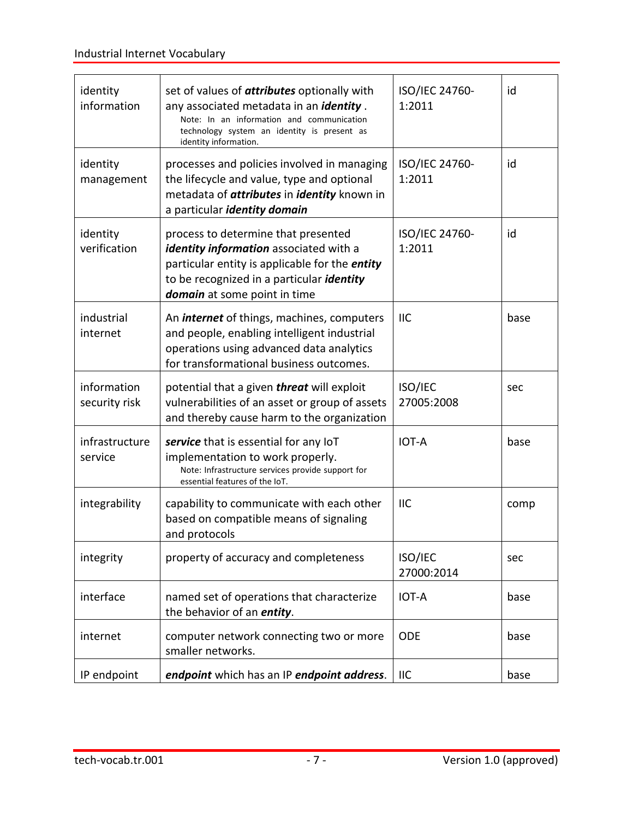<span id="page-12-4"></span><span id="page-12-3"></span><span id="page-12-2"></span><span id="page-12-1"></span><span id="page-12-0"></span>

| identity<br>information      | set of values of <b>attributes</b> optionally with<br>any associated metadata in an <i>identity</i> .<br>Note: In an information and communication<br>technology system an identity is present as<br>identity information. | ISO/IEC 24760-<br>1:2011 | id   |
|------------------------------|----------------------------------------------------------------------------------------------------------------------------------------------------------------------------------------------------------------------------|--------------------------|------|
| identity<br>management       | processes and policies involved in managing<br>the lifecycle and value, type and optional<br>metadata of <i>attributes</i> in <i>identity</i> known in<br>a particular <i>identity domain</i>                              | ISO/IEC 24760-<br>1:2011 | id   |
| identity<br>verification     | process to determine that presented<br>identity information associated with a<br>particular entity is applicable for the <i>entity</i><br>to be recognized in a particular <i>identity</i><br>domain at some point in time | ISO/IEC 24760-<br>1:2011 | id   |
| industrial<br>internet       | An <i>internet</i> of things, machines, computers<br>and people, enabling intelligent industrial<br>operations using advanced data analytics<br>for transformational business outcomes.                                    | <b>IIC</b>               | base |
| information<br>security risk | potential that a given threat will exploit<br>vulnerabilities of an asset or group of assets<br>and thereby cause harm to the organization                                                                                 | ISO/IEC<br>27005:2008    | sec  |
| infrastructure<br>service    | service that is essential for any loT<br>implementation to work properly.<br>Note: Infrastructure services provide support for<br>essential features of the IoT.                                                           | <b>IOT-A</b>             | base |
| integrability                | capability to communicate with each other<br>based on compatible means of signaling<br>and protocols                                                                                                                       | <b>IIC</b>               | comp |
| integrity                    | property of accuracy and completeness                                                                                                                                                                                      | ISO/IEC<br>27000:2014    | sec  |
| interface                    | named set of operations that characterize<br>the behavior of an <i>entity</i> .                                                                                                                                            | IOT-A                    | base |
| internet                     | computer network connecting two or more<br>smaller networks.                                                                                                                                                               | <b>ODE</b>               | base |
| IP endpoint                  | endpoint which has an IP endpoint address.                                                                                                                                                                                 | <b>IIC</b>               | base |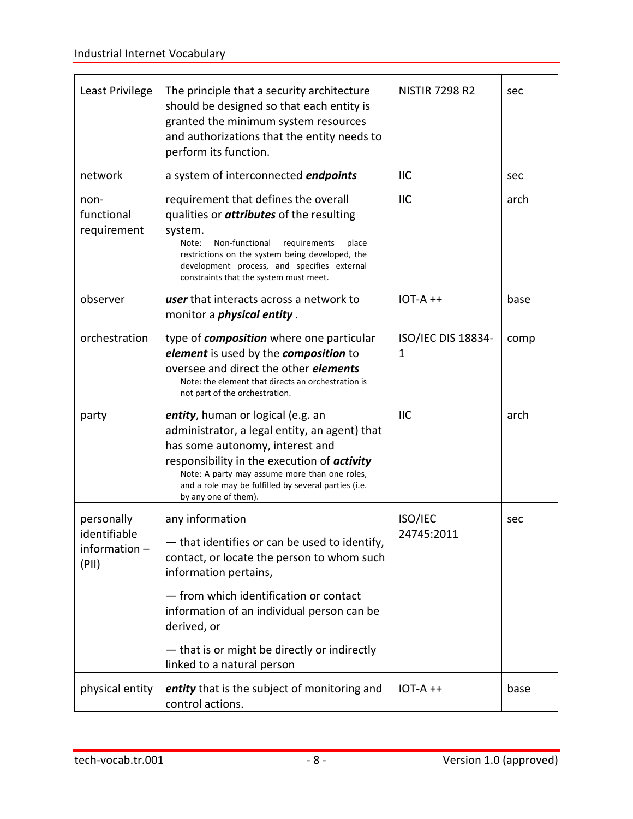<span id="page-13-1"></span><span id="page-13-0"></span>

| Least Privilege                                        | The principle that a security architecture<br>should be designed so that each entity is<br>granted the minimum system resources<br>and authorizations that the entity needs to<br>perform its function.                                                                                                                      | <b>NISTIR 7298 R2</b>          | sec  |
|--------------------------------------------------------|------------------------------------------------------------------------------------------------------------------------------------------------------------------------------------------------------------------------------------------------------------------------------------------------------------------------------|--------------------------------|------|
| network                                                | a system of interconnected <i>endpoints</i>                                                                                                                                                                                                                                                                                  | <b>IIC</b>                     | sec  |
| non-<br>functional<br>requirement                      | requirement that defines the overall<br>qualities or <i>attributes</i> of the resulting<br>system.<br>Non-functional<br>Note:<br>requirements<br>place<br>restrictions on the system being developed, the<br>development process, and specifies external<br>constraints that the system must meet.                           | <b>IIC</b>                     | arch |
| observer                                               | <b>user</b> that interacts across a network to<br>monitor a <i>physical entity</i> .                                                                                                                                                                                                                                         | $IOT-A++$                      | base |
| orchestration                                          | type of <i>composition</i> where one particular<br>element is used by the composition to<br>oversee and direct the other <i>elements</i><br>Note: the element that directs an orchestration is<br>not part of the orchestration.                                                                                             | <b>ISO/IEC DIS 18834-</b><br>1 | comp |
| party                                                  | entity, human or logical (e.g. an<br>administrator, a legal entity, an agent) that<br>has some autonomy, interest and<br>responsibility in the execution of <i>activity</i><br>Note: A party may assume more than one roles,<br>and a role may be fulfilled by several parties (i.e.<br>by any one of them).                 | <b>IIC</b>                     | arch |
| personally<br>identifiable<br>information $-$<br>(PII) | any information<br>- that identifies or can be used to identify,<br>contact, or locate the person to whom such<br>information pertains,<br>- from which identification or contact<br>information of an individual person can be<br>derived, or<br>- that is or might be directly or indirectly<br>linked to a natural person | ISO/IEC<br>24745:2011          | sec  |
| physical entity                                        | entity that is the subject of monitoring and<br>control actions.                                                                                                                                                                                                                                                             | $IOT-A++$                      | base |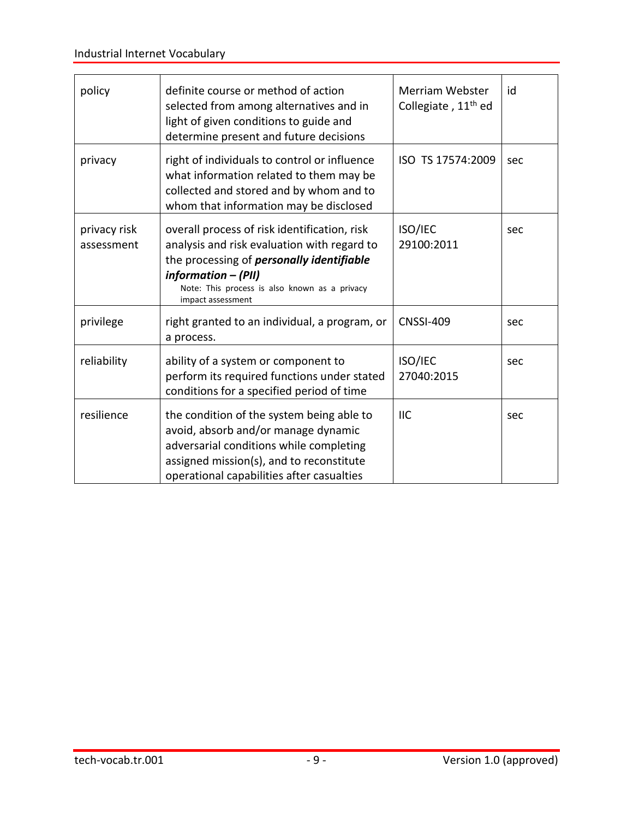| policy                     | definite course or method of action<br>selected from among alternatives and in<br>light of given conditions to guide and<br>determine present and future decisions                                                                           | Merriam Webster<br>Collegiate, 11 <sup>th</sup> ed | id  |
|----------------------------|----------------------------------------------------------------------------------------------------------------------------------------------------------------------------------------------------------------------------------------------|----------------------------------------------------|-----|
| privacy                    | right of individuals to control or influence<br>what information related to them may be<br>collected and stored and by whom and to<br>whom that information may be disclosed                                                                 | ISO TS 17574:2009                                  | sec |
| privacy risk<br>assessment | overall process of risk identification, risk<br>analysis and risk evaluation with regard to<br>the processing of <i>personally identifiable</i><br>information - (PII)<br>Note: This process is also known as a privacy<br>impact assessment | ISO/IEC<br>29100:2011                              | sec |
| privilege                  | right granted to an individual, a program, or<br>a process.                                                                                                                                                                                  | <b>CNSSI-409</b>                                   | sec |
| reliability                | ability of a system or component to<br>perform its required functions under stated<br>conditions for a specified period of time                                                                                                              | ISO/IEC<br>27040:2015                              | sec |
| resilience                 | the condition of the system being able to<br>avoid, absorb and/or manage dynamic<br>adversarial conditions while completing<br>assigned mission(s), and to reconstitute<br>operational capabilities after casualties                         | <b>IIC</b>                                         | sec |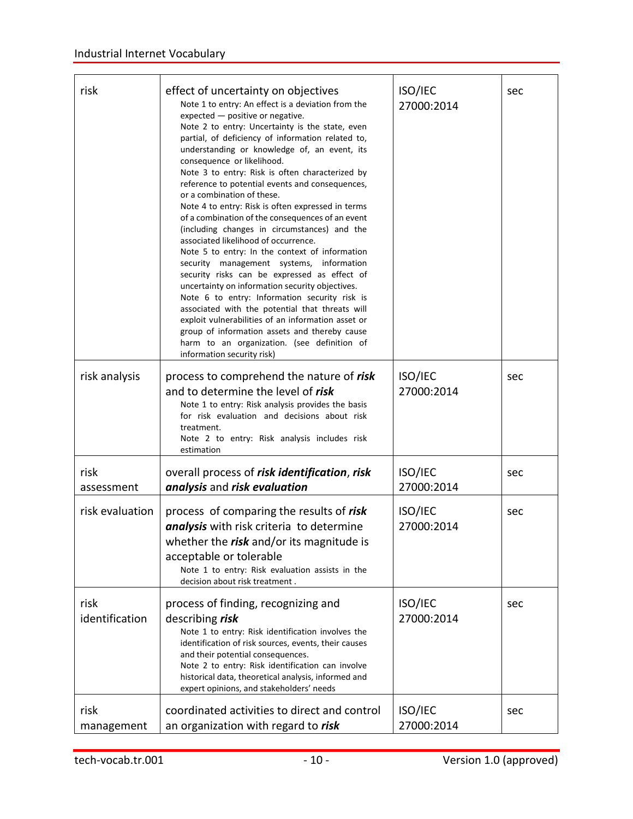<span id="page-15-3"></span><span id="page-15-2"></span><span id="page-15-1"></span><span id="page-15-0"></span>

| risk                   | effect of uncertainty on objectives<br>Note 1 to entry: An effect is a deviation from the<br>expected - positive or negative.<br>Note 2 to entry: Uncertainty is the state, even<br>partial, of deficiency of information related to,<br>understanding or knowledge of, an event, its<br>consequence or likelihood.<br>Note 3 to entry: Risk is often characterized by<br>reference to potential events and consequences,<br>or a combination of these.<br>Note 4 to entry: Risk is often expressed in terms<br>of a combination of the consequences of an event<br>(including changes in circumstances) and the<br>associated likelihood of occurrence.<br>Note 5 to entry: In the context of information<br>security management systems, information<br>security risks can be expressed as effect of<br>uncertainty on information security objectives.<br>Note 6 to entry: Information security risk is<br>associated with the potential that threats will<br>exploit vulnerabilities of an information asset or<br>group of information assets and thereby cause<br>harm to an organization. (see definition of<br>information security risk) | ISO/IEC<br>27000:2014 | sec |
|------------------------|---------------------------------------------------------------------------------------------------------------------------------------------------------------------------------------------------------------------------------------------------------------------------------------------------------------------------------------------------------------------------------------------------------------------------------------------------------------------------------------------------------------------------------------------------------------------------------------------------------------------------------------------------------------------------------------------------------------------------------------------------------------------------------------------------------------------------------------------------------------------------------------------------------------------------------------------------------------------------------------------------------------------------------------------------------------------------------------------------------------------------------------------------|-----------------------|-----|
| risk analysis          | process to comprehend the nature of risk<br>and to determine the level of risk<br>Note 1 to entry: Risk analysis provides the basis<br>for risk evaluation and decisions about risk<br>treatment.<br>Note 2 to entry: Risk analysis includes risk<br>estimation                                                                                                                                                                                                                                                                                                                                                                                                                                                                                                                                                                                                                                                                                                                                                                                                                                                                                   | ISO/IEC<br>27000:2014 | sec |
| risk<br>assessment     | overall process of risk identification, risk<br>analysis and risk evaluation                                                                                                                                                                                                                                                                                                                                                                                                                                                                                                                                                                                                                                                                                                                                                                                                                                                                                                                                                                                                                                                                      | ISO/IEC<br>27000:2014 | sec |
| risk evaluation        | process of comparing the results of risk<br>analysis with risk criteria to determine<br>whether the risk and/or its magnitude is<br>acceptable or tolerable<br>Note 1 to entry: Risk evaluation assists in the<br>decision about risk treatment.                                                                                                                                                                                                                                                                                                                                                                                                                                                                                                                                                                                                                                                                                                                                                                                                                                                                                                  | ISO/IEC<br>27000:2014 | sec |
| risk<br>identification | process of finding, recognizing and<br>describing risk<br>Note 1 to entry: Risk identification involves the<br>identification of risk sources, events, their causes<br>and their potential consequences.<br>Note 2 to entry: Risk identification can involve<br>historical data, theoretical analysis, informed and<br>expert opinions, and stakeholders' needs                                                                                                                                                                                                                                                                                                                                                                                                                                                                                                                                                                                                                                                                                                                                                                                   | ISO/IEC<br>27000:2014 | sec |
| risk<br>management     | coordinated activities to direct and control<br>an organization with regard to risk                                                                                                                                                                                                                                                                                                                                                                                                                                                                                                                                                                                                                                                                                                                                                                                                                                                                                                                                                                                                                                                               | ISO/IEC<br>27000:2014 | sec |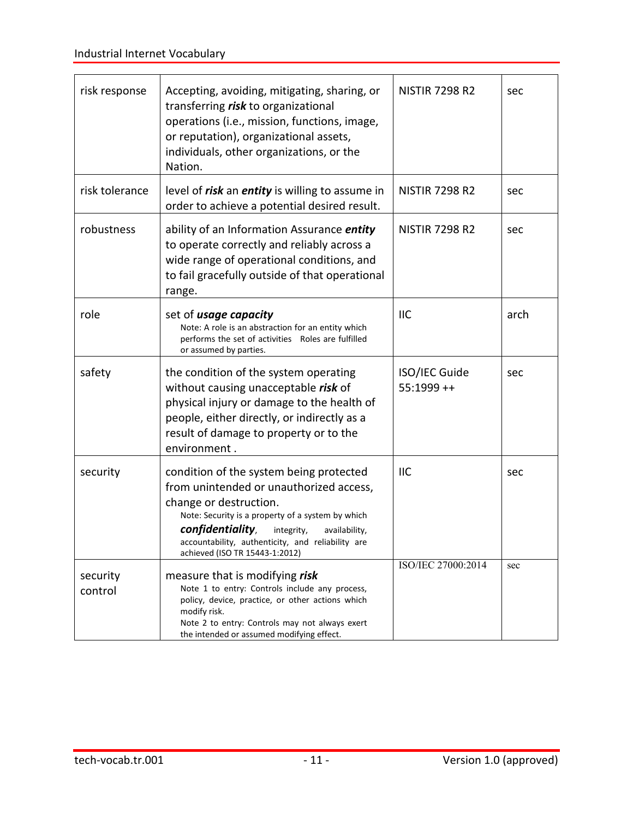<span id="page-16-0"></span>

| risk response       | Accepting, avoiding, mitigating, sharing, or<br>transferring risk to organizational<br>operations (i.e., mission, functions, image,<br>or reputation), organizational assets,<br>individuals, other organizations, or the<br>Nation.                                                                        | <b>NISTIR 7298 R2</b>               | sec  |
|---------------------|-------------------------------------------------------------------------------------------------------------------------------------------------------------------------------------------------------------------------------------------------------------------------------------------------------------|-------------------------------------|------|
| risk tolerance      | level of <i>risk</i> an <i>entity</i> is willing to assume in<br>order to achieve a potential desired result.                                                                                                                                                                                               | <b>NISTIR 7298 R2</b>               | sec  |
| robustness          | ability of an Information Assurance <i>entity</i><br>to operate correctly and reliably across a<br>wide range of operational conditions, and<br>to fail gracefully outside of that operational<br>range.                                                                                                    | <b>NISTIR 7298 R2</b>               | sec  |
| role                | set of <i>usage capacity</i><br>Note: A role is an abstraction for an entity which<br>performs the set of activities Roles are fulfilled<br>or assumed by parties.                                                                                                                                          | <b>IIC</b>                          | arch |
| safety              | the condition of the system operating<br>without causing unacceptable risk of<br>physical injury or damage to the health of<br>people, either directly, or indirectly as a<br>result of damage to property or to the<br>environment.                                                                        | <b>ISO/IEC Guide</b><br>$55:1999++$ | sec  |
| security            | condition of the system being protected<br>from unintended or unauthorized access,<br>change or destruction.<br>Note: Security is a property of a system by which<br>confidentiality,<br>integrity,<br>availability,<br>accountability, authenticity, and reliability are<br>achieved (ISO TR 15443-1:2012) | <b>IIC</b>                          | sec  |
| security<br>control | measure that is modifying risk<br>Note 1 to entry: Controls include any process,<br>policy, device, practice, or other actions which<br>modify risk.<br>Note 2 to entry: Controls may not always exert<br>the intended or assumed modifying effect.                                                         | ISO/IEC 27000:2014                  | sec  |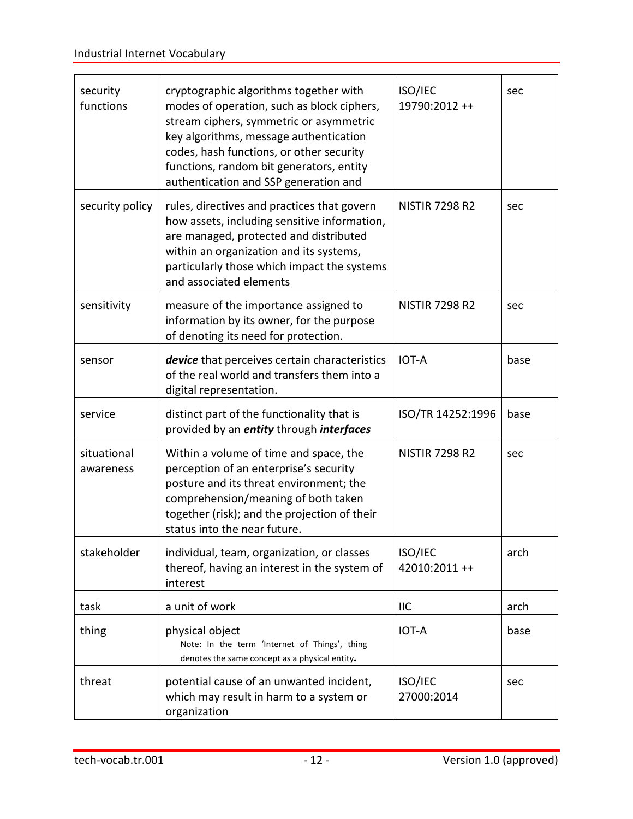<span id="page-17-4"></span><span id="page-17-3"></span><span id="page-17-2"></span><span id="page-17-1"></span><span id="page-17-0"></span>

| security<br>functions    | cryptographic algorithms together with<br>modes of operation, such as block ciphers,<br>stream ciphers, symmetric or asymmetric<br>key algorithms, message authentication<br>codes, hash functions, or other security<br>functions, random bit generators, entity<br>authentication and SSP generation and | ISO/IEC<br>19790:2012++      | sec  |
|--------------------------|------------------------------------------------------------------------------------------------------------------------------------------------------------------------------------------------------------------------------------------------------------------------------------------------------------|------------------------------|------|
| security policy          | rules, directives and practices that govern<br>how assets, including sensitive information,<br>are managed, protected and distributed<br>within an organization and its systems,<br>particularly those which impact the systems<br>and associated elements                                                 | <b>NISTIR 7298 R2</b>        | sec  |
| sensitivity              | measure of the importance assigned to<br>information by its owner, for the purpose<br>of denoting its need for protection.                                                                                                                                                                                 | <b>NISTIR 7298 R2</b>        | sec  |
| sensor                   | device that perceives certain characteristics<br>of the real world and transfers them into a<br>digital representation.                                                                                                                                                                                    | <b>IOT-A</b>                 | base |
| service                  | distinct part of the functionality that is<br>provided by an entity through interfaces                                                                                                                                                                                                                     | ISO/TR 14252:1996            | base |
| situational<br>awareness | Within a volume of time and space, the<br>perception of an enterprise's security<br>posture and its threat environment; the<br>comprehension/meaning of both taken<br>together (risk); and the projection of their<br>status into the near future.                                                         | <b>NISTIR 7298 R2</b>        | sec  |
| stakeholder              | individual, team, organization, or classes<br>thereof, having an interest in the system of<br>interest                                                                                                                                                                                                     | ISO/IEC<br>42010:2011 ++     | arch |
| task                     | a unit of work                                                                                                                                                                                                                                                                                             | <b>IIC</b>                   | arch |
| thing                    | physical object<br>Note: In the term 'Internet of Things', thing<br>denotes the same concept as a physical entity.                                                                                                                                                                                         | <b>IOT-A</b>                 | base |
| threat                   | potential cause of an unwanted incident,<br>which may result in harm to a system or<br>organization                                                                                                                                                                                                        | <b>ISO/IEC</b><br>27000:2014 | sec  |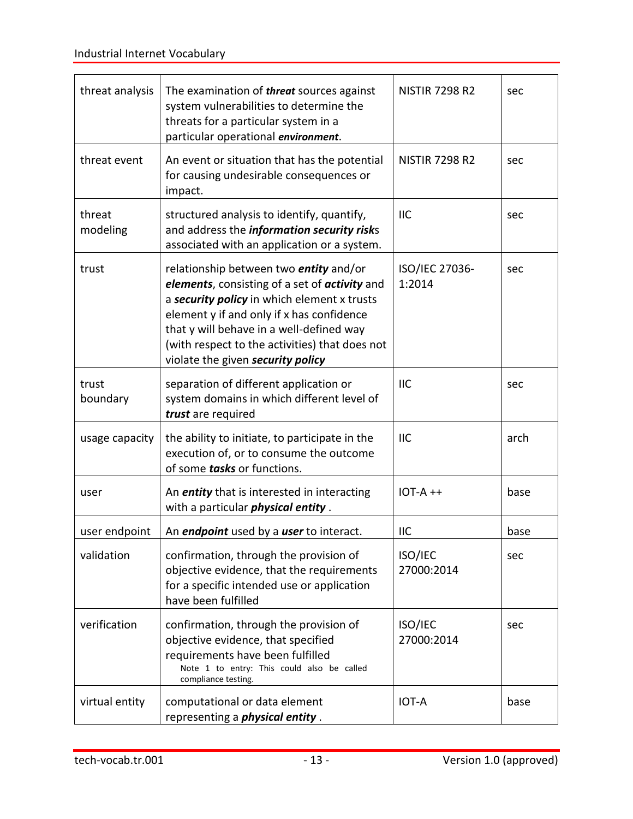<span id="page-18-2"></span><span id="page-18-1"></span><span id="page-18-0"></span>

| threat analysis    | The examination of <i>threat</i> sources against<br>system vulnerabilities to determine the<br>threats for a particular system in a<br>particular operational environment.                                                                                                                                                    | <b>NISTIR 7298 R2</b>    | sec  |
|--------------------|-------------------------------------------------------------------------------------------------------------------------------------------------------------------------------------------------------------------------------------------------------------------------------------------------------------------------------|--------------------------|------|
| threat event       | An event or situation that has the potential<br>for causing undesirable consequences or<br>impact.                                                                                                                                                                                                                            | <b>NISTIR 7298 R2</b>    | sec  |
| threat<br>modeling | structured analysis to identify, quantify,<br>and address the information security risks<br>associated with an application or a system.                                                                                                                                                                                       | <b>IIC</b>               | sec  |
| trust              | relationship between two <i>entity</i> and/or<br>elements, consisting of a set of activity and<br>a security policy in which element x trusts<br>element y if and only if x has confidence<br>that y will behave in a well-defined way<br>(with respect to the activities) that does not<br>violate the given security policy | ISO/IEC 27036-<br>1:2014 | sec  |
| trust<br>boundary  | separation of different application or<br>system domains in which different level of<br>trust are required                                                                                                                                                                                                                    | <b>IIC</b>               | sec  |
| usage capacity     | the ability to initiate, to participate in the<br>execution of, or to consume the outcome<br>of some tasks or functions.                                                                                                                                                                                                      | <b>IIC</b>               | arch |
| user               | An <i>entity</i> that is interested in interacting<br>with a particular <i>physical entity</i> .                                                                                                                                                                                                                              | $IOT-A++$                | base |
| user endpoint      | An <i>endpoint</i> used by a <i>user</i> to interact.                                                                                                                                                                                                                                                                         | <b>IIC</b>               | base |
| validation         | confirmation, through the provision of<br>objective evidence, that the requirements<br>for a specific intended use or application<br>have been fulfilled                                                                                                                                                                      | ISO/IEC<br>27000:2014    | sec  |
| verification       | confirmation, through the provision of<br>objective evidence, that specified<br>requirements have been fulfilled<br>Note 1 to entry: This could also be called<br>compliance testing.                                                                                                                                         | ISO/IEC<br>27000:2014    | sec  |
| virtual entity     | computational or data element<br>representing a <i>physical entity</i> .                                                                                                                                                                                                                                                      | <b>IOT-A</b>             | base |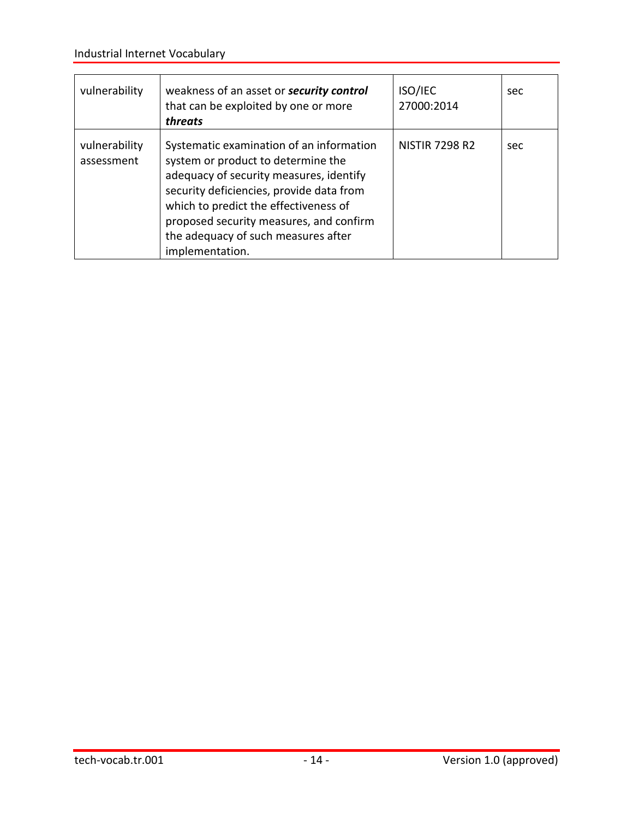| vulnerability               | weakness of an asset or <b>security control</b><br>that can be exploited by one or more<br>threats                                                                                                                                                                                                                  | <b>ISO/IEC</b><br>27000:2014 | sec |
|-----------------------------|---------------------------------------------------------------------------------------------------------------------------------------------------------------------------------------------------------------------------------------------------------------------------------------------------------------------|------------------------------|-----|
| vulnerability<br>assessment | Systematic examination of an information<br>system or product to determine the<br>adequacy of security measures, identify<br>security deficiencies, provide data from<br>which to predict the effectiveness of<br>proposed security measures, and confirm<br>the adequacy of such measures after<br>implementation. | <b>NISTIR 7298 R2</b>        | sec |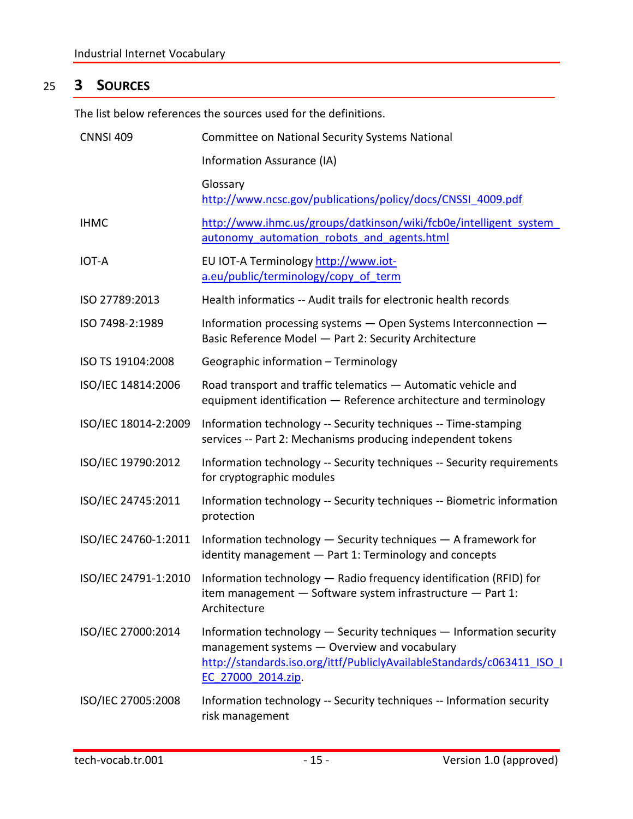# <span id="page-20-0"></span>25 **3 SOURCES**

The list below references the sources used for the definitions.

| <b>CNNSI 409</b>     | Committee on National Security Systems National                                                                                                                                                                     |
|----------------------|---------------------------------------------------------------------------------------------------------------------------------------------------------------------------------------------------------------------|
|                      | Information Assurance (IA)                                                                                                                                                                                          |
|                      | Glossary<br>http://www.ncsc.gov/publications/policy/docs/CNSSI 4009.pdf                                                                                                                                             |
| <b>IHMC</b>          | http://www.ihmc.us/groups/datkinson/wiki/fcb0e/intelligent system<br>autonomy automation robots and agents.html                                                                                                     |
| <b>IOT-A</b>         | EU IOT-A Terminology http://www.iot-<br>a.eu/public/terminology/copy of term                                                                                                                                        |
| ISO 27789:2013       | Health informatics -- Audit trails for electronic health records                                                                                                                                                    |
| ISO 7498-2:1989      | Information processing systems - Open Systems Interconnection -<br>Basic Reference Model - Part 2: Security Architecture                                                                                            |
| ISO TS 19104:2008    | Geographic information - Terminology                                                                                                                                                                                |
| ISO/IEC 14814:2006   | Road transport and traffic telematics - Automatic vehicle and<br>equipment identification - Reference architecture and terminology                                                                                  |
| ISO/IEC 18014-2:2009 | Information technology -- Security techniques -- Time-stamping<br>services -- Part 2: Mechanisms producing independent tokens                                                                                       |
| ISO/IEC 19790:2012   | Information technology -- Security techniques -- Security requirements<br>for cryptographic modules                                                                                                                 |
| ISO/IEC 24745:2011   | Information technology -- Security techniques -- Biometric information<br>protection                                                                                                                                |
| ISO/IEC 24760-1:2011 | Information technology - Security techniques - A framework for<br>identity management - Part 1: Terminology and concepts                                                                                            |
| ISO/IEC 24791-1:2010 | Information technology - Radio frequency identification (RFID) for<br>item management - Software system infrastructure - Part 1:<br>Architecture                                                                    |
| ISO/IEC 27000:2014   | Information technology - Security techniques - Information security<br>management systems - Overview and vocabulary<br>http://standards.iso.org/ittf/PubliclyAvailableStandards/c063411 ISO I<br>EC 27000 2014.zip. |
| ISO/IEC 27005:2008   | Information technology -- Security techniques -- Information security<br>risk management                                                                                                                            |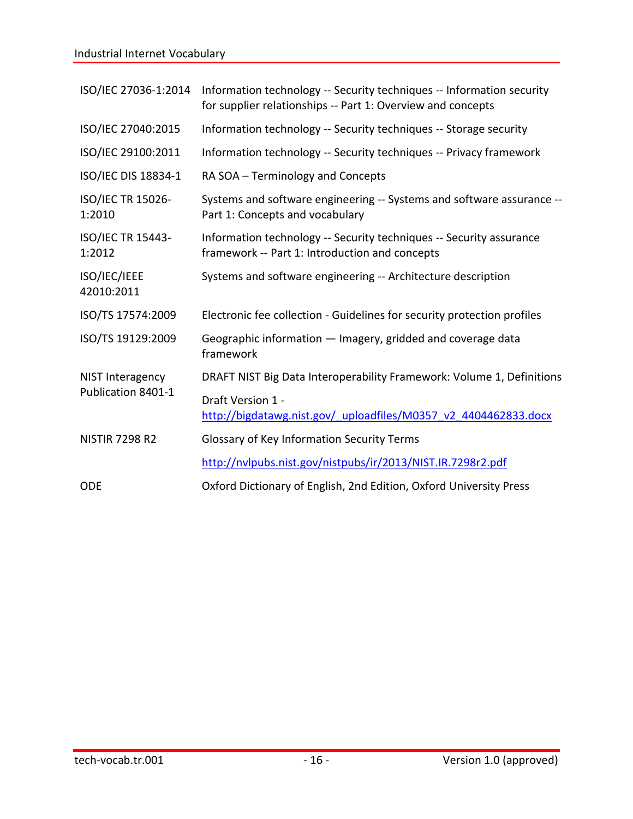# Industrial Internet Vocabulary

|                             | ISO/IEC 27036-1:2014 Information technology -- Security techniques -- Information security<br>for supplier relationships -- Part 1: Overview and concepts |
|-----------------------------|-----------------------------------------------------------------------------------------------------------------------------------------------------------|
| ISO/IEC 27040:2015          | Information technology -- Security techniques -- Storage security                                                                                         |
| ISO/IEC 29100:2011          | Information technology -- Security techniques -- Privacy framework                                                                                        |
| ISO/IEC DIS 18834-1         | RA SOA - Terminology and Concepts                                                                                                                         |
| ISO/IEC TR 15026-<br>1:2010 | Systems and software engineering -- Systems and software assurance --<br>Part 1: Concepts and vocabulary                                                  |
| ISO/IEC TR 15443-<br>1:2012 | Information technology -- Security techniques -- Security assurance<br>framework -- Part 1: Introduction and concepts                                     |
| ISO/IEC/IEEE<br>42010:2011  | Systems and software engineering -- Architecture description                                                                                              |
| ISO/TS 17574:2009           | Electronic fee collection - Guidelines for security protection profiles                                                                                   |
| ISO/TS 19129:2009           | Geographic information - Imagery, gridded and coverage data<br>framework                                                                                  |
| NIST Interagency            | DRAFT NIST Big Data Interoperability Framework: Volume 1, Definitions                                                                                     |
| Publication 8401-1          | Draft Version 1 -<br>http://bigdatawg.nist.gov/ uploadfiles/M0357 v2 4404462833.docx                                                                      |
| <b>NISTIR 7298 R2</b>       | Glossary of Key Information Security Terms                                                                                                                |
|                             | http://nvlpubs.nist.gov/nistpubs/ir/2013/NIST.IR.7298r2.pdf                                                                                               |
| <b>ODE</b>                  | Oxford Dictionary of English, 2nd Edition, Oxford University Press                                                                                        |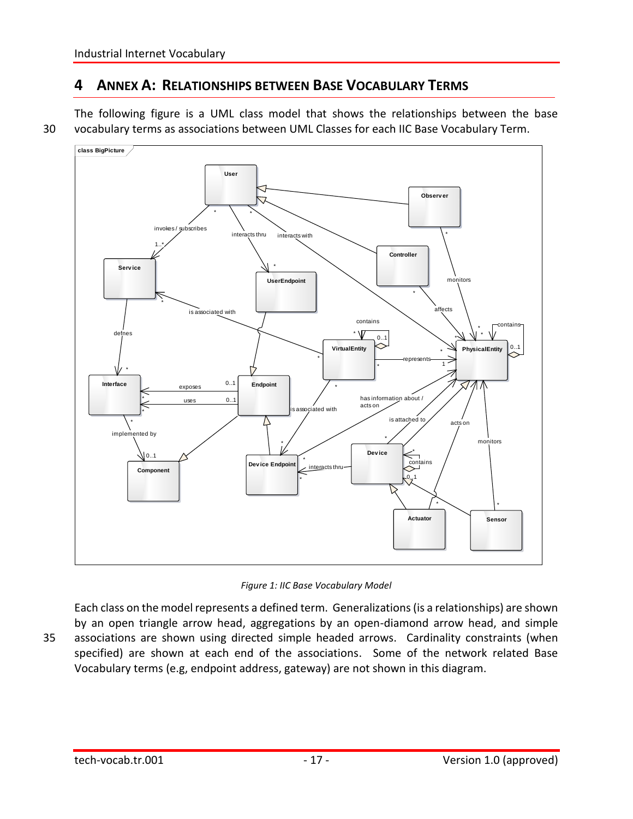### <span id="page-22-0"></span>**4 ANNEX A: RELATIONSHIPS BETWEEN BASE VOCABULARY TERMS**

The following figure is a UML class model that shows the relationships between the base 30 vocabulary terms as associations between UML Classes for each IIC Base Vocabulary Term.



*Figure 1: IIC Base Vocabulary Model*

Each class on the model represents a defined term. Generalizations (is a relationships) are shown by an open triangle arrow head, aggregations by an open-diamond arrow head, and simple 35 associations are shown using directed simple headed arrows. Cardinality constraints (when specified) are shown at each end of the associations. Some of the network related Base Vocabulary terms (e.g, endpoint address, gateway) are not shown in this diagram.